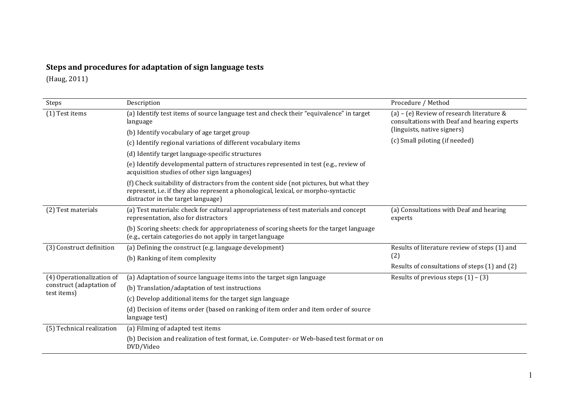## **Steps and procedures for adaptation of sign language tests**

(Haug, 2011)

| Steps                                                                | Description                                                                                                                                                                                                          | Procedure / Method                                                                         |
|----------------------------------------------------------------------|----------------------------------------------------------------------------------------------------------------------------------------------------------------------------------------------------------------------|--------------------------------------------------------------------------------------------|
| (1) Test items                                                       | (a) Identify test items of source language test and check their "equivalence" in target<br>language                                                                                                                  | (a) - (e) Review of research literature $&$<br>consultations with Deaf and hearing experts |
|                                                                      | (b) Identify vocabulary of age target group                                                                                                                                                                          | (linguists, native signers)                                                                |
|                                                                      | (c) Identify regional variations of different vocabulary items                                                                                                                                                       | (c) Small piloting (if needed)                                                             |
|                                                                      | (d) Identify target language-specific structures                                                                                                                                                                     |                                                                                            |
|                                                                      | (e) Identify developmental pattern of structures represented in test (e.g., review of<br>acquisition studies of other sign languages)                                                                                |                                                                                            |
|                                                                      | (f) Check suitability of distractors from the content side (not pictures, but what they<br>represent, i.e. if they also represent a phonological, lexical, or morpho-syntactic<br>distractor in the target language) |                                                                                            |
| (2) Test materials                                                   | (a) Test materials: check for cultural appropriateness of test materials and concept<br>representation, also for distractors                                                                                         | (a) Consultations with Deaf and hearing<br>experts                                         |
|                                                                      | (b) Scoring sheets: check for appropriateness of scoring sheets for the target language<br>(e.g., certain categories do not apply in target language                                                                 |                                                                                            |
| (3) Construct definition                                             | (a) Defining the construct (e.g. language development)                                                                                                                                                               | Results of literature review of steps (1) and                                              |
|                                                                      | (b) Ranking of item complexity                                                                                                                                                                                       | (2)                                                                                        |
|                                                                      |                                                                                                                                                                                                                      | Results of consultations of steps (1) and (2)                                              |
| (4) Operationalization of<br>construct (adaptation of<br>test items) | (a) Adaptation of source language items into the target sign language                                                                                                                                                | Results of previous steps $(1) - (3)$                                                      |
|                                                                      | (b) Translation/adaptation of test instructions                                                                                                                                                                      |                                                                                            |
|                                                                      | (c) Develop additional items for the target sign language                                                                                                                                                            |                                                                                            |
|                                                                      | (d) Decision of items order (based on ranking of item order and item order of source<br>language test)                                                                                                               |                                                                                            |
| (5) Technical realization                                            | (a) Filming of adapted test items                                                                                                                                                                                    |                                                                                            |
|                                                                      | (b) Decision and realization of test format, i.e. Computer- or Web-based test format or on<br>DVD/Video                                                                                                              |                                                                                            |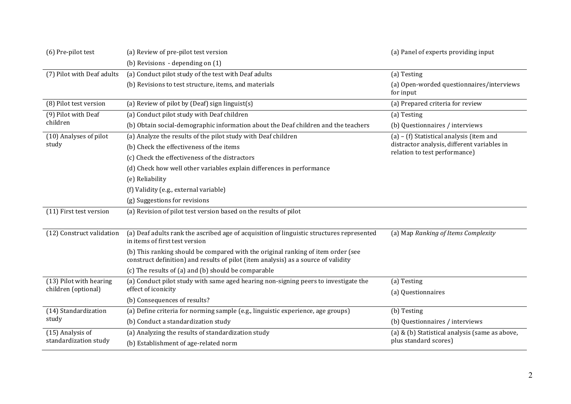| (6) Pre-pilot test                             | (a) Review of pre-pilot test version                                                                                                                                   | (a) Panel of experts providing input                                                                                     |
|------------------------------------------------|------------------------------------------------------------------------------------------------------------------------------------------------------------------------|--------------------------------------------------------------------------------------------------------------------------|
|                                                | (b) Revisions - depending on (1)                                                                                                                                       |                                                                                                                          |
| (7) Pilot with Deaf adults                     | (a) Conduct pilot study of the test with Deaf adults                                                                                                                   | (a) Testing                                                                                                              |
|                                                | (b) Revisions to test structure, items, and materials                                                                                                                  | (a) Open-worded questionnaires/interviews<br>for input                                                                   |
| (8) Pilot test version                         | (a) Review of pilot by (Deaf) sign linguist(s)                                                                                                                         | (a) Prepared criteria for review                                                                                         |
| (9) Pilot with Deaf<br>children                | (a) Conduct pilot study with Deaf children                                                                                                                             | (a) Testing                                                                                                              |
|                                                | (b) Obtain social-demographic information about the Deaf children and the teachers                                                                                     | (b) Questionnaires / interviews                                                                                          |
| (10) Analyses of pilot<br>study                | (a) Analyze the results of the pilot study with Deaf children                                                                                                          | (a) - (f) Statistical analysis (item and<br>distractor analysis, different variables in<br>relation to test performance) |
|                                                | (b) Check the effectiveness of the items                                                                                                                               |                                                                                                                          |
|                                                | (c) Check the effectiveness of the distractors                                                                                                                         |                                                                                                                          |
|                                                | (d) Check how well other variables explain differences in performance                                                                                                  |                                                                                                                          |
|                                                | (e) Reliability                                                                                                                                                        |                                                                                                                          |
|                                                | (f) Validity (e.g., external variable)                                                                                                                                 |                                                                                                                          |
|                                                | (g) Suggestions for revisions                                                                                                                                          |                                                                                                                          |
| (11) First test version                        | (a) Revision of pilot test version based on the results of pilot                                                                                                       |                                                                                                                          |
|                                                |                                                                                                                                                                        |                                                                                                                          |
| (12) Construct validation                      | (a) Deaf adults rank the ascribed age of acquisition of linguistic structures represented<br>in items of first test version                                            | (a) Map Ranking of Items Complexity                                                                                      |
|                                                | (b) This ranking should be compared with the original ranking of item order (see<br>construct definition) and results of pilot (item analysis) as a source of validity |                                                                                                                          |
|                                                | (c) The results of (a) and (b) should be comparable                                                                                                                    |                                                                                                                          |
| (13) Pilot with hearing<br>children (optional) | (a) Conduct pilot study with same aged hearing non-signing peers to investigate the<br>effect of iconicity                                                             | (a) Testing<br>(a) Questionnaires                                                                                        |
|                                                | (b) Consequences of results?                                                                                                                                           |                                                                                                                          |
| (14) Standardization<br>study                  | (a) Define criteria for norming sample (e.g., linguistic experience, age groups)                                                                                       | (b) Testing                                                                                                              |
|                                                | (b) Conduct a standardization study                                                                                                                                    | (b) Questionnaires / interviews                                                                                          |
| (15) Analysis of<br>standardization study      | (a) Analyzing the results of standardization study                                                                                                                     | (a) & (b) Statistical analysis (same as above,<br>plus standard scores)                                                  |
|                                                | (b) Establishment of age-related norm                                                                                                                                  |                                                                                                                          |